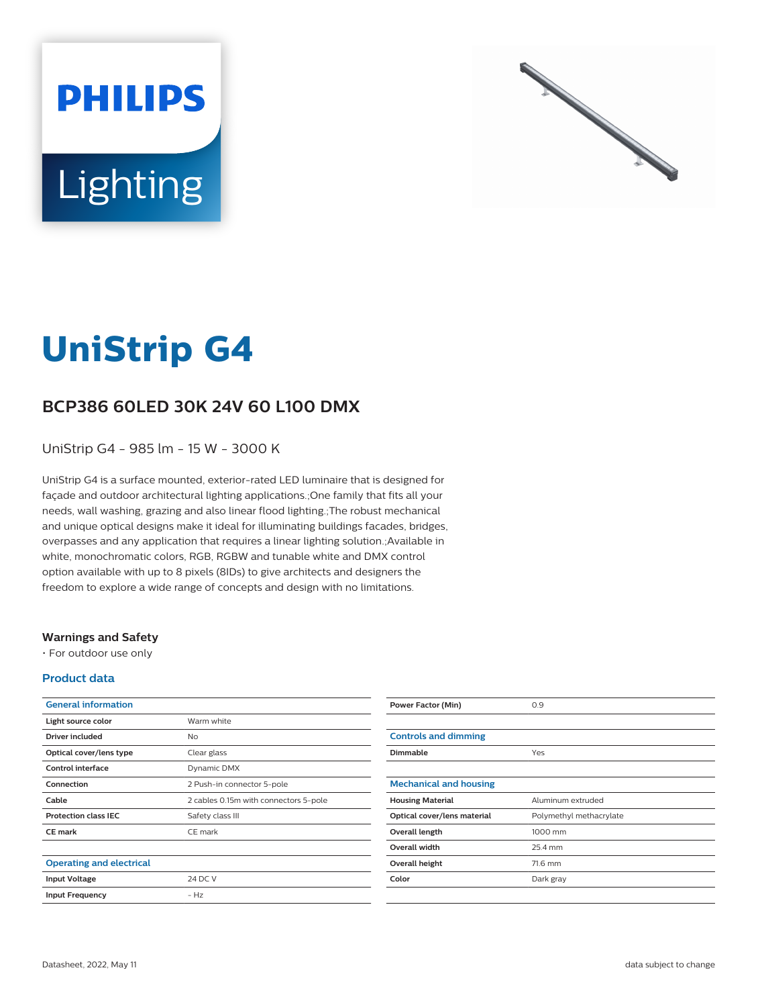



# **UniStrip G4**

## **BCP386 60LED 30K 24V 60 L100 DMX**

UniStrip G4 - 985 lm - 15 W - 3000 K

UniStrip G4 is a surface mounted, exterior-rated LED luminaire that is designed for façade and outdoor architectural lighting applications.;One family that fits all your needs, wall washing, grazing and also linear flood lighting.;The robust mechanical and unique optical designs make it ideal for illuminating buildings facades, bridges, overpasses and any application that requires a linear lighting solution.;Available in white, monochromatic colors, RGB, RGBW and tunable white and DMX control option available with up to 8 pixels (8IDs) to give architects and designers the freedom to explore a wide range of concepts and design with no limitations.

#### **Warnings and Safety**

• For outdoor use only

#### **Product data**

| Warm white                            |
|---------------------------------------|
| No.                                   |
| Clear glass                           |
| Dynamic DMX                           |
| 2 Push-in connector 5-pole            |
| 2 cables 0.15m with connectors 5-pole |
| Safety class III                      |
| CE mark                               |
|                                       |
|                                       |
| 24 DC V                               |
| $-Hz$                                 |
|                                       |

| <b>Power Factor (Min)</b>     | 0.9                     |
|-------------------------------|-------------------------|
|                               |                         |
| <b>Controls and dimming</b>   |                         |
| <b>Dimmable</b>               | Yes                     |
|                               |                         |
| <b>Mechanical and housing</b> |                         |
| <b>Housing Material</b>       | Aluminum extruded       |
| Optical cover/lens material   | Polymethyl methacrylate |
| Overall length                | 1000 mm                 |
| Overall width                 | 25.4 mm                 |
| Overall height                | 71.6 mm                 |
| Color                         | Dark gray               |
|                               |                         |